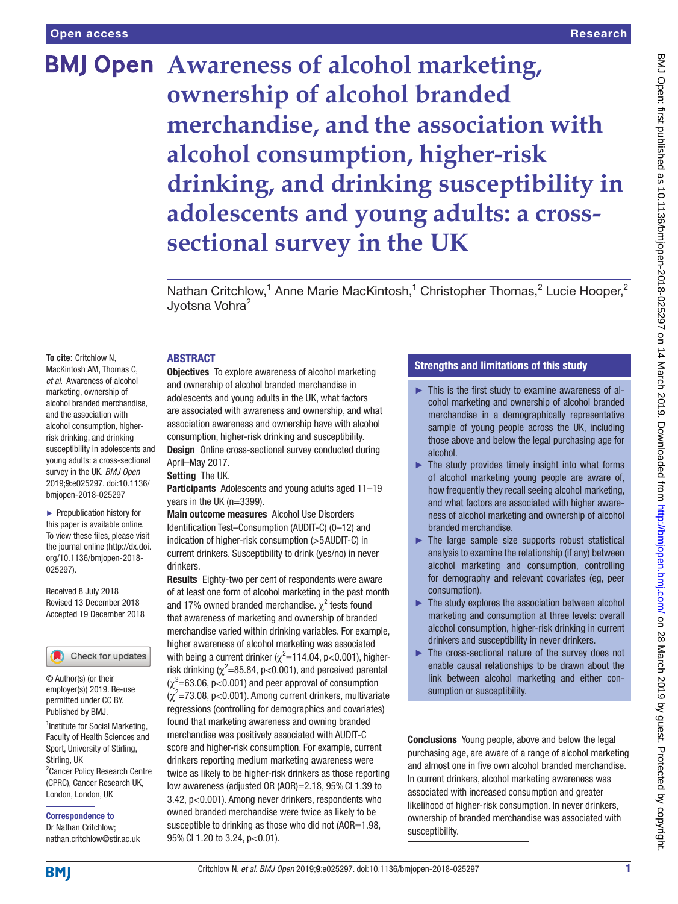# **BMJ Open** Awareness of alcohol marketing, **ownership of alcohol branded merchandise, and the association with alcohol consumption, higher-risk drinking, and drinking susceptibility in adolescents and young adults: a crosssectional survey in the UK**

Nathan Critchlow,<sup>1</sup> Anne Marie MacKintosh,<sup>1</sup> Christopher Thomas,<sup>2</sup> Lucie Hooper,<sup>2</sup> Jyotsna Vohra<sup>2</sup>

# **ABSTRACT**

**To cite:** Critchlow N, MacKintosh AM, Thomas C *et al*. Awareness of alcohol marketing, ownership of alcohol branded merchandise, and the association with alcohol consumption, higherrisk drinking, and drinking susceptibility in adolescents and young adults: a cross-sectional survey in the UK. *BMJ Open* 2019;9:e025297. doi:10.1136/ bmjopen-2018-025297

► Prepublication history for this paper is available online. To view these files, please visit the journal online [\(http://dx.doi.](http://dx.doi.org/10.1136/bmjopen-2018-025297) [org/10.1136/bmjopen-2018-](http://dx.doi.org/10.1136/bmjopen-2018-025297) [025297\)](http://dx.doi.org/10.1136/bmjopen-2018-025297).

Received 8 July 2018 Revised 13 December 2018 Accepted 19 December 2018

#### Check for updates

© Author(s) (or their employer(s)) 2019. Re-use permitted under CC BY. Published by BMJ.

<sup>1</sup> Institute for Social Marketing, Faculty of Health Sciences and Sport, University of Stirling, Stirling, IIK 2 Cancer Policy Research Centre (CPRC), Cancer Research UK, London, London, UK

#### Correspondence to

Dr Nathan Critchlow; nathan.critchlow@stir.ac.uk

**Objectives** To explore awareness of alcohol marketing and ownership of alcohol branded merchandise in adolescents and young adults in the UK, what factors are associated with awareness and ownership, and what association awareness and ownership have with alcohol consumption, higher-risk drinking and susceptibility. Design Online cross-sectional survey conducted during April–May 2017.

#### Setting The UK.

Participants Adolescents and young adults aged 11–19 years in the UK (n=3399).

Main outcome measures Alcohol Use Disorders Identification Test–Consumption (AUDIT-C) (0–12) and indication of higher-risk consumption (>5AUDIT-C) in current drinkers. Susceptibility to drink (yes/no) in never drinkers.

Results Eighty-two per cent of respondents were aware of at least one form of alcohol marketing in the past month and 17% owned branded merchandise.  $\chi^2$  tests found that awareness of marketing and ownership of branded merchandise varied within drinking variables. For example, higher awareness of alcohol marketing was associated with being a current drinker ( $\chi^2$ =114.04, p<0.001), higherrisk drinking ( $\chi^2$ =85.84, p<0.001), and perceived parental  $(\chi^2 = 63.06, p < 0.001)$  and peer approval of consumption  $(\chi^2 = 73.08, p < 0.001)$ . Among current drinkers, multivariate regressions (controlling for demographics and covariates) found that marketing awareness and owning branded merchandise was positively associated with AUDIT-C score and higher-risk consumption. For example, current drinkers reporting medium marketing awareness were twice as likely to be higher-risk drinkers as those reporting low awareness (adjusted OR (AOR)=2.18, 95% Cl 1.39 to 3.42, p<0.001). Among never drinkers, respondents who owned branded merchandise were twice as likely to be susceptible to drinking as those who did not (AOR=1.98, 95% CI 1.20 to 3.24, p<0.01).

# Strengths and limitations of this study

- ► This is the first study to examine awareness of alcohol marketing and ownership of alcohol branded merchandise in a demographically representative sample of young people across the UK, including those above and below the legal purchasing age for alcohol.
- $\blacktriangleright$  The study provides timely insight into what forms of alcohol marketing young people are aware of, how frequently they recall seeing alcohol marketing, and what factors are associated with higher awareness of alcohol marketing and ownership of alcohol branded merchandise.
- $\blacktriangleright$  The large sample size supports robust statistical analysis to examine the relationship (if any) between alcohol marketing and consumption, controlling for demography and relevant covariates (eg, peer consumption).
- $\blacktriangleright$  The study explores the association between alcohol marketing and consumption at three levels: overall alcohol consumption, higher-risk drinking in current drinkers and susceptibility in never drinkers.
- ► The cross-sectional nature of the survey does not enable causal relationships to be drawn about the link between alcohol marketing and either consumption or susceptibility.

Conclusions Young people, above and below the legal purchasing age, are aware of a range of alcohol marketing and almost one in five own alcohol branded merchandise. In current drinkers, alcohol marketing awareness was associated with increased consumption and greater likelihood of higher-risk consumption. In never drinkers, ownership of branded merchandise was associated with susceptibility.

**BMI**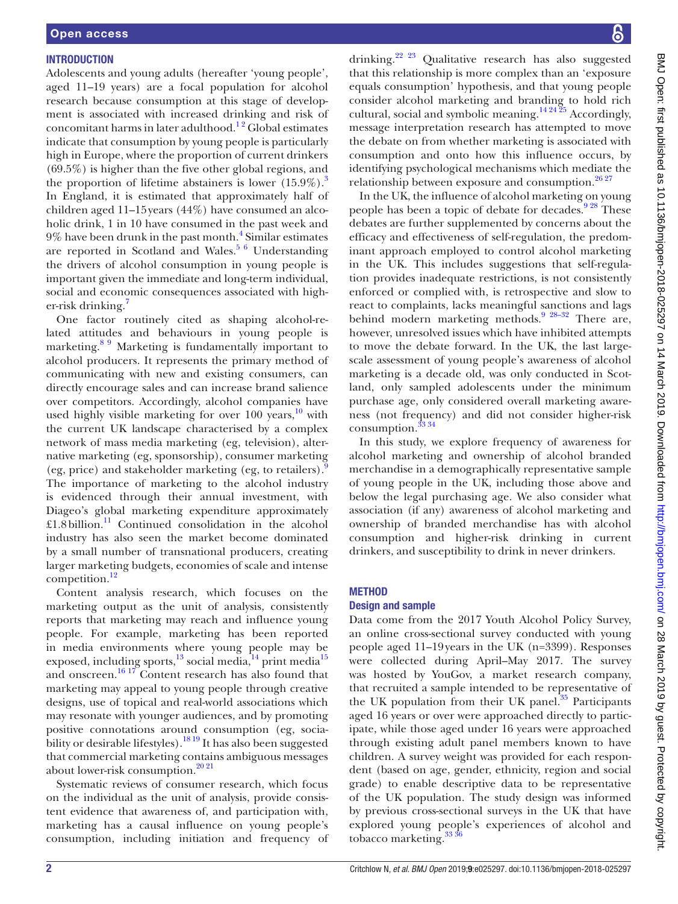#### **INTRODUCTION**

Adolescents and young adults (hereafter 'young people', aged 11–19 years) are a focal population for alcohol research because consumption at this stage of development is associated with increased drinking and risk of concomitant harms in later adulthood.<sup>12</sup> Global estimates indicate that consumption by young people is particularly high in Europe, where the proportion of current drinkers (69.5%) is higher than the five other global regions, and the proportion of lifetime abstainers is lower  $(15.9\%)$ .<sup>[3](#page-13-0)</sup> In England, it is estimated that approximately half of children aged 11–15years (44%) have consumed an alcoholic drink, 1 in 10 have consumed in the past week and  $9\%$  have been drunk in the past month. $^4$  $^4$  Similar estimates are reported in Scotland and Wales. $5/6$  Understanding the drivers of alcohol consumption in young people is important given the immediate and long-term individual, social and economic consequences associated with higher-risk drinking.<sup>7</sup>

One factor routinely cited as shaping alcohol-related attitudes and behaviours in young people is marketing.<sup>8 9</sup> Marketing is fundamentally important to alcohol producers. It represents the primary method of communicating with new and existing consumers, can directly encourage sales and can increase brand salience over competitors. Accordingly, alcohol companies have used highly visible marketing for over  $100$  years,<sup>10</sup> with the current UK landscape characterised by a complex network of mass media marketing (eg, television), alternative marketing (eg, sponsorship), consumer marketing (eg, price) and stakeholder marketing (eg, to retailers). $\frac{9}{5}$  $\frac{9}{5}$  $\frac{9}{5}$ The importance of marketing to the alcohol industry is evidenced through their annual investment, with Diageo's global marketing expenditure approximately £1.8billion. $\frac{11}{11}$  Continued consolidation in the alcohol industry has also seen the market become dominated by a small number of transnational producers, creating larger marketing budgets, economies of scale and intense competition.<sup>12</sup>

Content analysis research, which focuses on the marketing output as the unit of analysis, consistently reports that marketing may reach and influence young people. For example, marketing has been reported in media environments where young people may be exposed, including sports,<sup>[13](#page-13-9)</sup> social media,<sup>[14](#page-13-10)</sup> print media<sup>15</sup> and onscreen.[16 17](#page-13-12) Content research has also found that marketing may appeal to young people through creative designs, use of topical and real-world associations which may resonate with younger audiences, and by promoting positive connotations around consumption (eg, sociability or desirable lifestyles).<sup>1819</sup> It has also been suggested that commercial marketing contains ambiguous messages about lower-risk consumption. $20\,21$ 

Systematic reviews of consumer research, which focus on the individual as the unit of analysis, provide consistent evidence that awareness of, and participation with, marketing has a causal influence on young people's consumption, including initiation and frequency of drinking.<sup>22 23</sup> Qualitative research has also suggested that this relationship is more complex than an 'exposure equals consumption' hypothesis, and that young people consider alcohol marketing and branding to hold rich cultural, social and symbolic meaning.[14 24 25](#page-13-10) Accordingly, message interpretation research has attempted to move the debate on from whether marketing is associated with consumption and onto how this influence occurs, by identifying psychological mechanisms which mediate the relationship between exposure and consumption. $26\frac{27}{27}$ 

In the UK, the influence of alcohol marketing on young people has been a topic of debate for decades.<sup>[9 28](#page-13-6)</sup> These debates are further supplemented by concerns about the efficacy and effectiveness of self-regulation, the predominant approach employed to control alcohol marketing in the UK. This includes suggestions that self-regulation provides inadequate restrictions, is not consistently enforced or complied with, is retrospective and slow to react to complaints, lacks meaningful sanctions and lags behind modern marketing methods.<sup>[9 28–32](#page-13-6)</sup> There are, however, unresolved issues which have inhibited attempts to move the debate forward. In the UK, the last largescale assessment of young people's awareness of alcohol marketing is a decade old, was only conducted in Scotland, only sampled adolescents under the minimum purchase age, only considered overall marketing awareness (not frequency) and did not consider higher-risk consumption.<sup>33</sup> 34

In this study, we explore frequency of awareness for alcohol marketing and ownership of alcohol branded merchandise in a demographically representative sample of young people in the UK, including those above and below the legal purchasing age. We also consider what association (if any) awareness of alcohol marketing and ownership of branded merchandise has with alcohol consumption and higher-risk drinking in current drinkers, and susceptibility to drink in never drinkers.

# **METHOD**

#### Design and sample

Data come from the 2017 Youth Alcohol Policy Survey, an online cross-sectional survey conducted with young people aged 11–19years in the UK (n=3399). Responses were collected during April–May 2017. The survey was hosted by YouGov, a market research company, that recruited a sample intended to be representative of the UK population from their UK panel. $35$  Participants aged 16 years or over were approached directly to participate, while those aged under 16 years were approached through existing adult panel members known to have children. A survey weight was provided for each respondent (based on age, gender, ethnicity, region and social grade) to enable descriptive data to be representative of the UK population. The study design was informed by previous cross-sectional surveys in the UK that have explored young people's experiences of alcohol and tobacco marketing.<sup>[33 36](#page-13-17)</sup>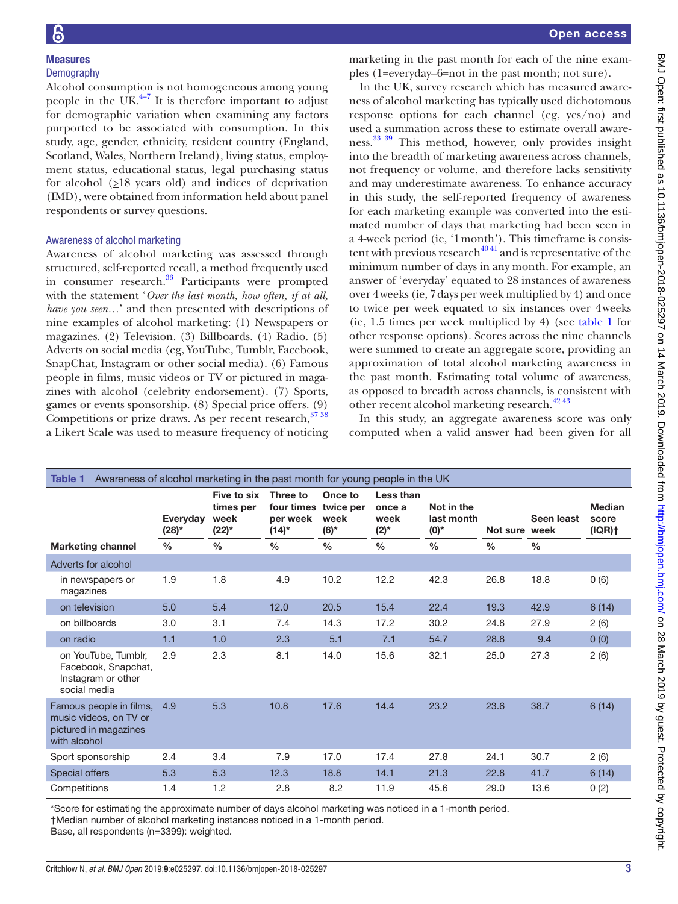# **Measures**

# **Demography**

Alcohol consumption is not homogeneous among young people in the UK $^{4-7}$  It is therefore important to adjust for demographic variation when examining any factors purported to be associated with consumption. In this study, age, gender, ethnicity, resident country (England, Scotland, Wales, Northern Ireland), living status, employment status, educational status, legal purchasing status for alcohol  $(\geq 18$  years old) and indices of deprivation (IMD), were obtained from information held about panel respondents or survey questions.

# Awareness of alcohol marketing

Awareness of alcohol marketing was assessed through structured, self-reported recall, a method frequently used in consumer research.<sup>33</sup> Participants were prompted with the statement '*Over the last month, how often, if at all, have you seen…*' and then presented with descriptions of nine examples of alcohol marketing: (1) Newspapers or magazines. (2) Television. (3) Billboards. (4) Radio. (5) Adverts on social media (eg, YouTube, Tumblr, Facebook, SnapChat, Instagram or other social media). (6) Famous people in films, music videos or TV or pictured in magazines with alcohol (celebrity endorsement). (7) Sports, games or events sponsorship. (8) Special price offers. (9) Competitions or prize draws. As per recent research,  $3738$ a Likert Scale was used to measure frequency of noticing

marketing in the past month for each of the nine examples (1=everyday–6=not in the past month; not sure).

In the UK, survey research which has measured awareness of alcohol marketing has typically used dichotomous response options for each channel (eg, yes/no) and used a summation across these to estimate overall awareness.<sup>33</sup> 39 This method, however, only provides insight into the breadth of marketing awareness across channels, not frequency or volume, and therefore lacks sensitivity and may underestimate awareness. To enhance accuracy in this study, the self-reported frequency of awareness for each marketing example was converted into the estimated number of days that marketing had been seen in a 4-week period (ie, '1month'). This timeframe is consistent with previous research $\frac{40 \text{ } 41}{2}$  and is representative of the minimum number of days in any month. For example, an answer of 'everyday' equated to 28 instances of awareness over 4weeks (ie, 7days per week multiplied by 4) and once to twice per week equated to six instances over 4weeks (ie, 1.5 times per week multiplied by 4) (see [table](#page-2-0) 1 for other response options). Scores across the nine channels were summed to create an aggregate score, providing an approximation of total alcohol marketing awareness in the past month. Estimating total volume of awareness, as opposed to breadth across channels, is consistent with other recent alcohol marketing research.<sup>42 43</sup>

In this study, an aggregate awareness score was only computed when a valid answer had been given for all

<span id="page-2-0"></span>

| Awareness of alcohol marketing in the past month for young people in the UK<br><b>Table 1</b> |                      |                                              |                                                          |                            |                                          |                                       |               |               |                                                 |
|-----------------------------------------------------------------------------------------------|----------------------|----------------------------------------------|----------------------------------------------------------|----------------------------|------------------------------------------|---------------------------------------|---------------|---------------|-------------------------------------------------|
|                                                                                               | Everyday<br>$(28)^*$ | Five to six<br>times per<br>week<br>$(22)^*$ | Three to<br>four times twice per<br>per week<br>$(14)^*$ | Once to<br>week<br>$(6)$ * | Less than<br>once a<br>week<br>$(2)^{*}$ | Not in the<br>last month<br>$(0)^{*}$ | Not sure week | Seen least    | <b>Median</b><br>score<br>$( IQR)$ <sup>+</sup> |
| <b>Marketing channel</b>                                                                      | $\frac{0}{0}$        | $\frac{0}{0}$                                | $\frac{0}{0}$                                            | $\%$                       | $\frac{0}{0}$                            | $\frac{0}{0}$                         | $\frac{0}{0}$ | $\frac{0}{0}$ |                                                 |
| Adverts for alcohol                                                                           |                      |                                              |                                                          |                            |                                          |                                       |               |               |                                                 |
| in newspapers or<br>magazines                                                                 | 1.9                  | 1.8                                          | 4.9                                                      | 10.2                       | 12.2                                     | 42.3                                  | 26.8          | 18.8          | 0(6)                                            |
| on television                                                                                 | 5.0                  | 5.4                                          | 12.0                                                     | 20.5                       | 15.4                                     | 22.4                                  | 19.3          | 42.9          | 6(14)                                           |
| on billboards                                                                                 | 3.0                  | 3.1                                          | 7.4                                                      | 14.3                       | 17.2                                     | 30.2                                  | 24.8          | 27.9          | 2(6)                                            |
| on radio                                                                                      | 1.1                  | 1.0                                          | 2.3                                                      | 5.1                        | 7.1                                      | 54.7                                  | 28.8          | 9.4           | 0(0)                                            |
| on YouTube, Tumblr,<br>Facebook, Snapchat,<br>Instagram or other<br>social media              | 2.9                  | 2.3                                          | 8.1                                                      | 14.0                       | 15.6                                     | 32.1                                  | 25.0          | 27.3          | 2(6)                                            |
| Famous people in films,<br>music videos, on TV or<br>pictured in magazines<br>with alcohol    | 4.9                  | 5.3                                          | 10.8                                                     | 17.6                       | 14.4                                     | 23.2                                  | 23.6          | 38.7          | 6(14)                                           |
| Sport sponsorship                                                                             | 2.4                  | 3.4                                          | 7.9                                                      | 17.0                       | 17.4                                     | 27.8                                  | 24.1          | 30.7          | 2(6)                                            |
| Special offers                                                                                | 5.3                  | 5.3                                          | 12.3                                                     | 18.8                       | 14.1                                     | 21.3                                  | 22.8          | 41.7          | 6(14)                                           |
| Competitions                                                                                  | 1.4                  | 1.2                                          | 2.8                                                      | 8.2                        | 11.9                                     | 45.6                                  | 29.0          | 13.6          | 0(2)                                            |

\*Score for estimating the approximate number of days alcohol marketing was noticed in a 1-month period. †Median number of alcohol marketing instances noticed in a 1-month period.

Base, all respondents (n=3399): weighted.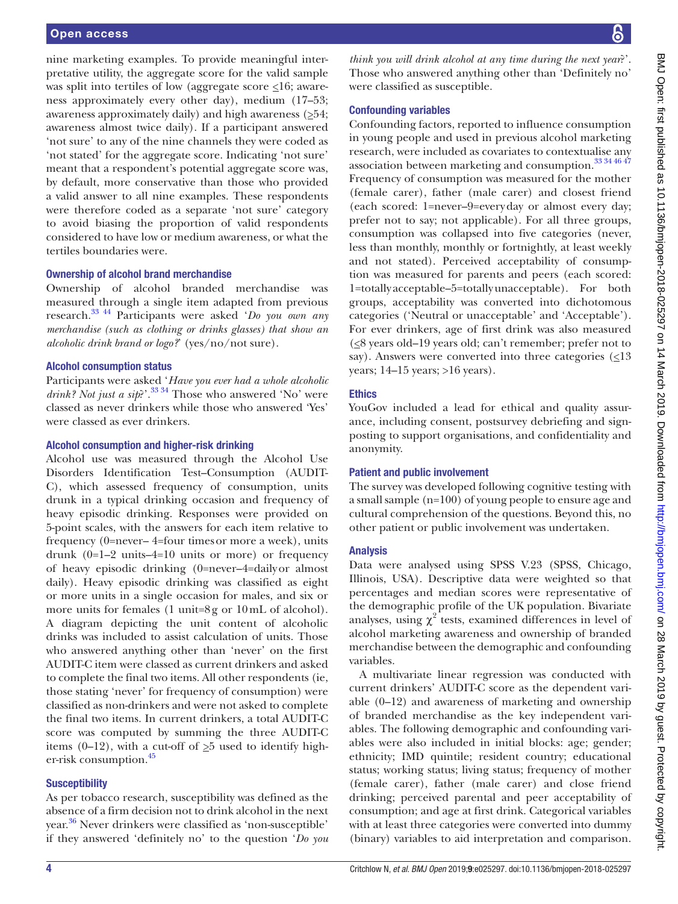#### Open access

nine marketing examples. To provide meaningful interpretative utility, the aggregate score for the valid sample was split into tertiles of low (aggregate score  $\leq 16$ ; awareness approximately every other day), medium (17–53; awareness approximately daily) and high awareness  $(\geq 54)$ ; awareness almost twice daily). If a participant answered 'not sure' to any of the nine channels they were coded as 'not stated' for the aggregate score. Indicating 'not sure' meant that a respondent's potential aggregate score was, by default, more conservative than those who provided a valid answer to all nine examples. These respondents were therefore coded as a separate 'not sure' category to avoid biasing the proportion of valid respondents considered to have low or medium awareness, or what the tertiles boundaries were.

#### Ownership of alcohol brand merchandise

Ownership of alcohol branded merchandise was measured through a single item adapted from previous research[.33 44](#page-13-17) Participants were asked '*Do you own any merchandise (such as clothing or drinks glasses) that show an alcoholic drink brand or logo?*' (yes/no/not sure).

#### Alcohol consumption status

Participants were asked '*Have you ever had a whole alcoholic drink? Not just a sip*?'.[33 34](#page-13-17) Those who answered 'No' were classed as never drinkers while those who answered 'Yes' were classed as ever drinkers.

#### Alcohol consumption and higher-risk drinking

Alcohol use was measured through the Alcohol Use Disorders Identification Test–Consumption (AUDIT-C), which assessed frequency of consumption, units drunk in a typical drinking occasion and frequency of heavy episodic drinking. Responses were provided on 5-point scales, with the answers for each item relative to frequency (0=never– 4=four timesor more a week), units drunk  $(0=1-2 \text{ units}-4=10 \text{ units or more})$  or frequency of heavy episodic drinking (0=never–4=dailyor almost daily). Heavy episodic drinking was classified as eight or more units in a single occasion for males, and six or more units for females (1 unit=8g or 10mL of alcohol). A diagram depicting the unit content of alcoholic drinks was included to assist calculation of units. Those who answered anything other than 'never' on the first AUDIT-C item were classed as current drinkers and asked to complete the final two items. All other respondents (ie, those stating 'never' for frequency of consumption) were classified as non-drinkers and were not asked to complete the final two items. In current drinkers, a total AUDIT-C score was computed by summing the three AUDIT-C items (0–12), with a cut-off of  $\geq$ 5 used to identify higher-risk consumption.<sup>45</sup>

#### **Susceptibility**

As per tobacco research, susceptibility was defined as the absence of a firm decision not to drink alcohol in the next year. [36](#page-13-23) Never drinkers were classified as 'non-susceptible' if they answered 'definitely no' to the question '*Do you* 

*think you will drink alcohol at any time during the next year*?'. Those who answered anything other than 'Definitely no' were classified as susceptible.

# Confounding variables

Confounding factors, reported to influence consumption in young people and used in previous alcohol marketing research, were included as covariates to contextualise any association between marketing and consumption.<sup>33</sup> 34 46 47 Frequency of consumption was measured for the mother (female carer), father (male carer) and closest friend (each scored: 1=never–9=everyday or almost every day; prefer not to say; not applicable). For all three groups, consumption was collapsed into five categories (never, less than monthly, monthly or fortnightly, at least weekly and not stated). Perceived acceptability of consumption was measured for parents and peers (each scored: 1=totally acceptable–5=totallyunacceptable). For both groups, acceptability was converted into dichotomous categories ('Neutral or unacceptable' and 'Acceptable'). For ever drinkers, age of first drink was also measured  $\leq$ 8 years old–19 years old; can't remember; prefer not to say). Answers were converted into three categories  $(\leq 13)$ years; 14–15 years; >16 years).

#### Ethics

YouGov included a lead for ethical and quality assurance, including consent, postsurvey debriefing and signposting to support organisations, and confidentiality and anonymity.

#### Patient and public involvement

The survey was developed following cognitive testing with a small sample (n=100) of young people to ensure age and cultural comprehension of the questions. Beyond this, no other patient or public involvement was undertaken.

# Analysis

Data were analysed using SPSS V.23 (SPSS, Chicago, Illinois, USA). Descriptive data were weighted so that percentages and median scores were representative of the demographic profile of the UK population. Bivariate analyses, using  $\chi^2$  tests, examined differences in level of alcohol marketing awareness and ownership of branded merchandise between the demographic and confounding variables.

A multivariate linear regression was conducted with current drinkers' AUDIT-C score as the dependent variable (0–12) and awareness of marketing and ownership of branded merchandise as the key independent variables. The following demographic and confounding variables were also included in initial blocks: age; gender; ethnicity; IMD quintile; resident country; educational status; working status; living status; frequency of mother (female carer), father (male carer) and close friend drinking; perceived parental and peer acceptability of consumption; and age at first drink. Categorical variables with at least three categories were converted into dummy (binary) variables to aid interpretation and comparison.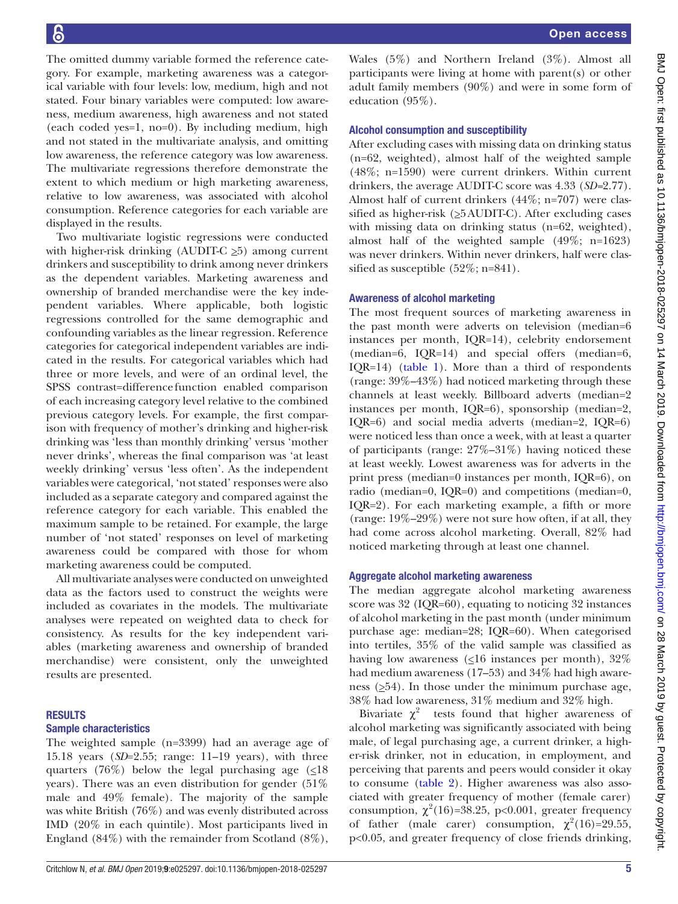The omitted dummy variable formed the reference category. For example, marketing awareness was a categorical variable with four levels: low, medium, high and not stated. Four binary variables were computed: low awareness, medium awareness, high awareness and not stated (each coded yes=1, no=0). By including medium, high and not stated in the multivariate analysis, and omitting low awareness, the reference category was low awareness. The multivariate regressions therefore demonstrate the extent to which medium or high marketing awareness, relative to low awareness, was associated with alcohol consumption. Reference categories for each variable are displayed in the results.

Two multivariate logistic regressions were conducted with higher-risk drinking (AUDIT-C  $\geq$ 5) among current drinkers and susceptibility to drink among never drinkers as the dependent variables. Marketing awareness and ownership of branded merchandise were the key independent variables. Where applicable, both logistic regressions controlled for the same demographic and confounding variables as the linear regression. Reference categories for categorical independent variables are indicated in the results. For categorical variables which had three or more levels, and were of an ordinal level, the SPSS contrast=difference function enabled comparison of each increasing category level relative to the combined previous category levels. For example, the first comparison with frequency of mother's drinking and higher-risk drinking was 'less than monthly drinking' versus 'mother never drinks', whereas the final comparison was 'at least weekly drinking' versus 'less often'. As the independent variables were categorical, 'not stated' responses were also included as a separate category and compared against the reference category for each variable. This enabled the maximum sample to be retained. For example, the large number of 'not stated' responses on level of marketing awareness could be compared with those for whom marketing awareness could be computed.

All multivariate analyses were conducted on unweighted data as the factors used to construct the weights were included as covariates in the models. The multivariate analyses were repeated on weighted data to check for consistency. As results for the key independent variables (marketing awareness and ownership of branded merchandise) were consistent, only the unweighted results are presented.

#### **RESULTS**

#### Sample characteristics

The weighted sample (n=3399) had an average age of 15.18 years (*SD*=2.55; range: 11–19 years), with three quarters (76%) below the legal purchasing age  $\leq 18$ years). There was an even distribution for gender (51% male and 49% female). The majority of the sample was white British (76%) and was evenly distributed across IMD (20% in each quintile). Most participants lived in England (84%) with the remainder from Scotland (8%),

Wales (5%) and Northern Ireland (3%). Almost all participants were living at home with parent(s) or other adult family members (90%) and were in some form of education (95%).

# Alcohol consumption and susceptibility

After excluding cases with missing data on drinking status (n=62, weighted), almost half of the weighted sample (48%; n=1590) were current drinkers. Within current drinkers, the average AUDIT-C score was 4.33 (*SD=*2.77). Almost half of current drinkers (44%; n=707) were classified as higher-risk (>5AUDIT-C). After excluding cases with missing data on drinking status (n=62, weighted), almost half of the weighted sample (49%; n=1623) was never drinkers. Within never drinkers, half were classified as susceptible (52%; n=841).

#### Awareness of alcohol marketing

The most frequent sources of marketing awareness in the past month were adverts on television (median=6 instances per month, IQR=14), celebrity endorsement (median=6, IQR=14) and special offers (median=6, IQR=14) [\(table](#page-2-0) 1). More than a third of respondents (range: 39%–43%) had noticed marketing through these channels at least weekly. Billboard adverts (median=2 instances per month, IQR=6), sponsorship (median=2, IQR=6) and social media adverts (median=2, IQR=6) were noticed less than once a week, with at least a quarter of participants (range: 27%–31%) having noticed these at least weekly. Lowest awareness was for adverts in the print press (median=0 instances per month, IQR=6), on radio (median=0, IQR=0) and competitions (median=0, IQR=2). For each marketing example, a fifth or more (range: 19%–29%) were not sure how often, if at all, they had come across alcohol marketing. Overall, 82% had noticed marketing through at least one channel.

#### Aggregate alcohol marketing awareness

The median aggregate alcohol marketing awareness score was 32 (IQR=60), equating to noticing 32 instances of alcohol marketing in the past month (under minimum purchase age: median=28; IQR=60). When categorised into tertiles, 35% of the valid sample was classified as having low awareness  $\leq 16$  instances per month), 32% had medium awareness (17–53) and 34% had high awareness  $(≥54)$ . In those under the minimum purchase age, 38% had low awareness, 31% medium and 32% high.

Bivariate  $\chi^2$  tests found that higher awareness of alcohol marketing was significantly associated with being male, of legal purchasing age, a current drinker, a higher-risk drinker, not in education, in employment, and perceiving that parents and peers would consider it okay to consume [\(table](#page-5-0) 2). Higher awareness was also associated with greater frequency of mother (female carer) consumption,  $\chi^2(16)=38.25$ , p<0.001, greater frequency of father (male carer) consumption,  $\chi^2(16)=29.55$ , p<0.05, and greater frequency of close friends drinking,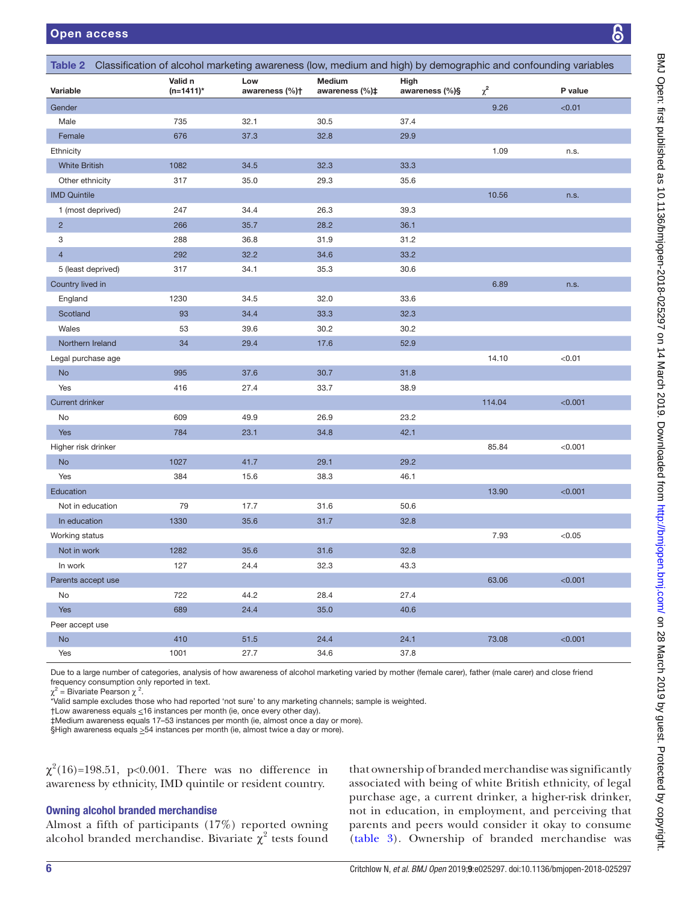<span id="page-5-0"></span>

| Classification of alcohol marketing awareness (low, medium and high) by demographic and confounding variables<br>Table 2 |                      |                       |                                 |                        |          |         |  |
|--------------------------------------------------------------------------------------------------------------------------|----------------------|-----------------------|---------------------------------|------------------------|----------|---------|--|
| Variable                                                                                                                 | Valid n<br>(n=1411)* | Low<br>awareness (%)† | <b>Medium</b><br>awareness (%)‡ | High<br>awareness (%)§ | $\chi^2$ | P value |  |
| Gender                                                                                                                   |                      |                       |                                 |                        | 9.26     | < 0.01  |  |
| Male                                                                                                                     | 735                  | 32.1                  | 30.5                            | 37.4                   |          |         |  |
| Female                                                                                                                   | 676                  | 37.3                  | 32.8                            | 29.9                   |          |         |  |
| Ethnicity                                                                                                                |                      |                       |                                 |                        | 1.09     | n.s.    |  |
| <b>White British</b>                                                                                                     | 1082                 | 34.5                  | 32.3                            | 33.3                   |          |         |  |
| Other ethnicity                                                                                                          | 317                  | 35.0                  | 29.3                            | 35.6                   |          |         |  |
| <b>IMD Quintile</b>                                                                                                      |                      |                       |                                 |                        | 10.56    | n.s.    |  |
| 1 (most deprived)                                                                                                        | 247                  | 34.4                  | 26.3                            | 39.3                   |          |         |  |
| $\overline{2}$                                                                                                           | 266                  | 35.7                  | 28.2                            | 36.1                   |          |         |  |
| 3                                                                                                                        | 288                  | 36.8                  | 31.9                            | 31.2                   |          |         |  |
| $\overline{\mathcal{L}}$                                                                                                 | 292                  | 32.2                  | 34.6                            | 33.2                   |          |         |  |
| 5 (least deprived)                                                                                                       | 317                  | 34.1                  | 35.3                            | 30.6                   |          |         |  |
| Country lived in                                                                                                         |                      |                       |                                 |                        | 6.89     | n.s.    |  |
| England                                                                                                                  | 1230                 | 34.5                  | 32.0                            | 33.6                   |          |         |  |
| Scotland                                                                                                                 | 93                   | 34.4                  | 33.3                            | 32.3                   |          |         |  |
| Wales                                                                                                                    | 53                   | 39.6                  | 30.2                            | 30.2                   |          |         |  |
| Northern Ireland                                                                                                         | 34                   | 29.4                  | 17.6                            | 52.9                   |          |         |  |
| Legal purchase age                                                                                                       |                      |                       |                                 |                        | 14.10    | < 0.01  |  |
| No                                                                                                                       | 995                  | 37.6                  | 30.7                            | 31.8                   |          |         |  |
| Yes                                                                                                                      | 416                  | 27.4                  | 33.7                            | 38.9                   |          |         |  |
| <b>Current drinker</b>                                                                                                   |                      |                       |                                 |                        | 114.04   | < 0.001 |  |
| No                                                                                                                       | 609                  | 49.9                  | 26.9                            | 23.2                   |          |         |  |
| <b>Yes</b>                                                                                                               | 784                  | 23.1                  | 34.8                            | 42.1                   |          |         |  |
| Higher risk drinker                                                                                                      |                      |                       |                                 |                        | 85.84    | < 0.001 |  |
| No                                                                                                                       | 1027                 | 41.7                  | 29.1                            | 29.2                   |          |         |  |
| Yes                                                                                                                      | 384                  | 15.6                  | 38.3                            | 46.1                   |          |         |  |
| Education                                                                                                                |                      |                       |                                 |                        | 13.90    | < 0.001 |  |
| Not in education                                                                                                         | 79                   | 17.7                  | 31.6                            | 50.6                   |          |         |  |
| In education                                                                                                             | 1330                 | 35.6                  | 31.7                            | 32.8                   |          |         |  |
| Working status                                                                                                           |                      |                       |                                 |                        | 7.93     | < 0.05  |  |
| Not in work                                                                                                              | 1282                 | 35.6                  | 31.6                            | 32.8                   |          |         |  |
| In work                                                                                                                  | 127                  | 24.4                  | 32.3                            | 43.3                   |          |         |  |
| Parents accept use                                                                                                       |                      |                       |                                 |                        | 63.06    | < 0.001 |  |
| No                                                                                                                       | 722                  | 44.2                  | 28.4                            | 27.4                   |          |         |  |
| Yes                                                                                                                      | 689                  | 24.4                  | 35.0                            | 40.6                   |          |         |  |
| Peer accept use                                                                                                          |                      |                       |                                 |                        |          |         |  |
| <b>No</b>                                                                                                                | 410                  | 51.5                  | 24.4                            | 24.1                   | 73.08    | < 0.001 |  |
| Yes                                                                                                                      | 1001                 | 27.7                  | 34.6                            | 37.8                   |          |         |  |

Due to a large number of categories, analysis of how awareness of alcohol marketing varied by mother (female carer), father (male carer) and close friend frequency consumption only reported in text.

 $\chi^2$  = Bivariate Pearson  $\chi^2$ .

\*Valid sample excludes those who had reported 'not sure' to any marketing channels; sample is weighted.

†Low awareness equals <16 instances per month (ie, once every other day).

‡Medium awareness equals 17–53 instances per month (ie, almost once a day or more).

§High awareness equals > 54 instances per month (ie, almost twice a day or more).

 $\chi^2(16)$ =198.51, p<0.001. There was no difference in awareness by ethnicity, IMD quintile or resident country.

# Owning alcohol branded merchandise

Almost a fifth of participants (17%) reported owning alcohol branded merchandise. Bivariate  $\chi^2$  tests found

that ownership of branded merchandise was significantly associated with being of white British ethnicity, of legal purchase age, a current drinker, a higher-risk drinker, not in education, in employment, and perceiving that parents and peers would consider it okay to consume [\(table](#page-6-0) 3). Ownership of branded merchandise was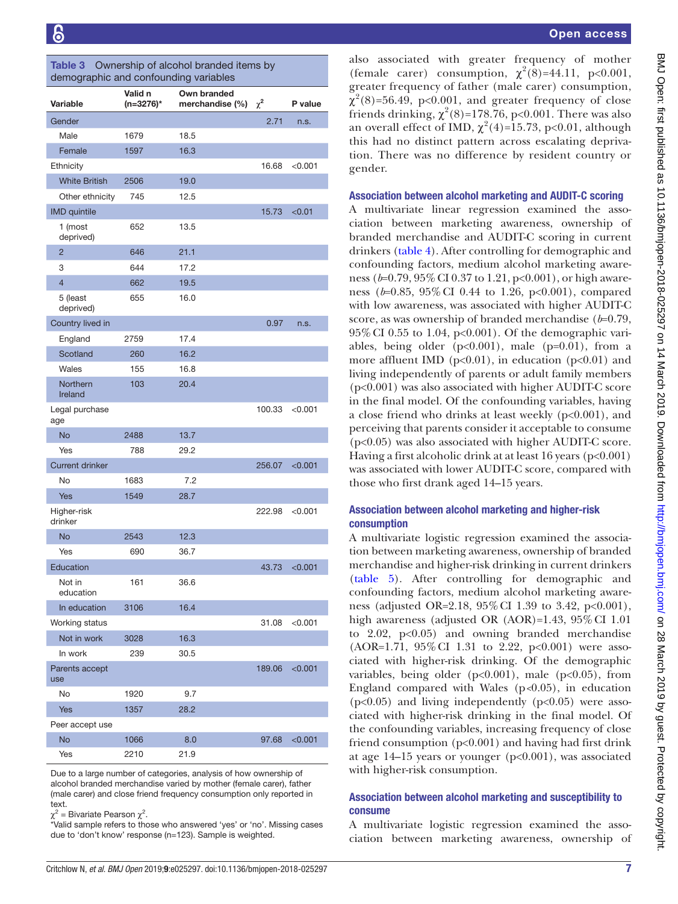<span id="page-6-0"></span>

| Ownership of alcohol branded items by<br>Table 3<br>demographic and confounding variables |                      |                                |          |           |  |  |  |
|-------------------------------------------------------------------------------------------|----------------------|--------------------------------|----------|-----------|--|--|--|
| Variable                                                                                  | Valid n<br>(n=3276)* | Own branded<br>merchandise (%) | $\chi^2$ | P value   |  |  |  |
| Gender                                                                                    |                      |                                | 2.71     | n.s.      |  |  |  |
| Male                                                                                      | 1679                 | 18.5                           |          |           |  |  |  |
| Female                                                                                    | 1597                 | 16.3                           |          |           |  |  |  |
| Ethnicity                                                                                 |                      |                                | 16.68    | < 0.001   |  |  |  |
| <b>White British</b>                                                                      | 2506                 | 19.0                           |          |           |  |  |  |
| Other ethnicity                                                                           | 745                  | 12.5                           |          |           |  |  |  |
| <b>IMD</b> quintile                                                                       |                      |                                | 15.73    | < 0.01    |  |  |  |
| 1 (most<br>deprived)                                                                      | 652                  | 13.5                           |          |           |  |  |  |
| $\overline{2}$                                                                            | 646                  | 21.1                           |          |           |  |  |  |
| 3                                                                                         | 644                  | 17.2                           |          |           |  |  |  |
| 4                                                                                         | 662                  | 19.5                           |          |           |  |  |  |
| 5 (least<br>deprived)                                                                     | 655                  | 16.0                           |          |           |  |  |  |
| Country lived in                                                                          |                      |                                | 0.97     | n.s.      |  |  |  |
| England                                                                                   | 2759                 | 17.4                           |          |           |  |  |  |
| Scotland                                                                                  | 260                  | 16.2                           |          |           |  |  |  |
| Wales                                                                                     | 155                  | 16.8                           |          |           |  |  |  |
| Northern<br>Ireland                                                                       | 103                  | 20.4                           |          |           |  |  |  |
| Legal purchase<br>age                                                                     |                      |                                | 100.33   | < 0.001   |  |  |  |
| <b>No</b>                                                                                 | 2488                 | 13.7                           |          |           |  |  |  |
| Yes                                                                                       | 788                  | 29.2                           |          |           |  |  |  |
| <b>Current drinker</b>                                                                    |                      |                                | 256.07   | < 0.001   |  |  |  |
| No                                                                                        | 1683                 | 7.2                            |          |           |  |  |  |
| <b>Yes</b>                                                                                | 1549                 | 28.7                           |          |           |  |  |  |
| Higher-risk<br>drinker                                                                    |                      |                                | 222.98   | < 0.001   |  |  |  |
| <b>No</b>                                                                                 | 2543                 | 12.3                           |          |           |  |  |  |
| Yes                                                                                       | 690                  | 36.7                           |          |           |  |  |  |
| Education                                                                                 |                      |                                | 43.73    | < 0.001   |  |  |  |
| Not in<br>education                                                                       | 161                  | 36.6                           |          |           |  |  |  |
| In education                                                                              | 3106                 | 16.4                           |          |           |  |  |  |
| Working status                                                                            |                      |                                | 31.08    | $<$ 0.001 |  |  |  |
| Not in work                                                                               | 3028                 | 16.3                           |          |           |  |  |  |
| In work                                                                                   | 239                  | 30.5                           |          |           |  |  |  |
| Parents accept<br>use                                                                     |                      |                                | 189.06   | < 0.001   |  |  |  |
| No                                                                                        | 1920                 | 9.7                            |          |           |  |  |  |
| Yes                                                                                       | 1357                 | 28.2                           |          |           |  |  |  |
| Peer accept use                                                                           |                      |                                |          |           |  |  |  |
| No                                                                                        | 1066                 | 8.0                            | 97.68    | < 0.001   |  |  |  |
| Yes                                                                                       | 2210                 | 21.9                           |          |           |  |  |  |

Due to a large number of categories, analysis of how ownership of alcohol branded merchandise varied by mother (female carer), father (male carer) and close friend frequency consumption only reported in text.

 $\chi^2$  = Bivariate Pearson  $\chi^2$ .

\*Valid sample refers to those who answered 'yes' or 'no'. Missing cases due to 'don't know' response (n=123). Sample is weighted.

also associated with greater frequency of mother (female carer) consumption,  $\chi^2(8)=44.11$ , p<0.001, greater frequency of father (male carer) consumption,  $\chi^2(8)$ =56.49, p<0.001, and greater frequency of close friends drinking,  $\chi^2(8)$ =178.76, p<0.001. There was also an overall effect of IMD,  $\chi^2(4) = 15.73$ , p<0.01, although this had no distinct pattern across escalating deprivation. There was no difference by resident country or gender.

# Association between alcohol marketing and AUDIT-C scoring

A multivariate linear regression examined the association between marketing awareness, ownership of branded merchandise and AUDIT-C scoring in current drinkers ([table](#page-7-0) 4). After controlling for demographic and confounding factors, medium alcohol marketing awareness (*b*=0.79, 95% CI 0.37 to 1.21, p<0.001), or high awareness (*b*=0.85, 95%CI 0.44 to 1.26, p<0.001), compared with low awareness, was associated with higher AUDIT-C score, as was ownership of branded merchandise (*b*=0.79, 95%CI 0.55 to 1.04, p<0.001). Of the demographic variables, being older  $(p<0.001)$ , male  $(p=0.01)$ , from a more affluent IMD ( $p<0.01$ ), in education ( $p<0.01$ ) and living independently of parents or adult family members (p<0.001) was also associated with higher AUDIT-C score in the final model. Of the confounding variables, having a close friend who drinks at least weekly (p<0.001), and perceiving that parents consider it acceptable to consume (p<0.05) was also associated with higher AUDIT-C score. Having a first alcoholic drink at at least  $16$  years ( $p<0.001$ ) was associated with lower AUDIT-C score, compared with those who first drank aged 14–15 years.

# Association between alcohol marketing and higher-risk consumption

A multivariate logistic regression examined the association between marketing awareness, ownership of branded merchandise and higher-risk drinking in current drinkers [\(table](#page-8-0) 5). After controlling for demographic and confounding factors, medium alcohol marketing awareness (adjusted OR=2.18, 95%CI 1.39 to 3.42, p<0.001), high awareness (adjusted OR (AOR)=1.43, 95% CI 1.01 to 2.02, p<0.05) and owning branded merchandise (AOR=1.71, 95%CI 1.31 to 2.22, p<0.001) were associated with higher-risk drinking. Of the demographic variables, being older  $(p<0.001)$ , male  $(p<0.05)$ , from England compared with Wales (p*<*0.05), in education  $(p<0.05)$  and living independently  $(p<0.05)$  were associated with higher-risk drinking in the final model. Of the confounding variables, increasing frequency of close friend consumption  $(p<0.001)$  and having had first drink at age 14–15 years or younger (p<0.001), was associated with higher-risk consumption.

# Association between alcohol marketing and susceptibility to consume

A multivariate logistic regression examined the association between marketing awareness, ownership of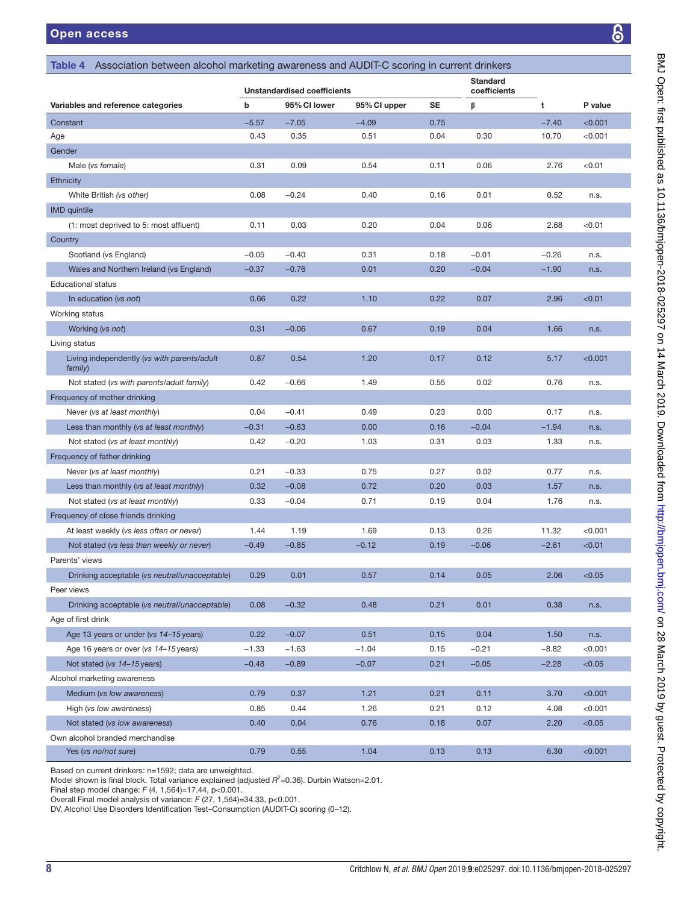<span id="page-7-0"></span>

| Association between alcohol marketing awareness and AUDIT-C scoring in current drinkers<br>Table 4 |         |                                    |              |      |                          |         |         |
|----------------------------------------------------------------------------------------------------|---------|------------------------------------|--------------|------|--------------------------|---------|---------|
|                                                                                                    |         | <b>Unstandardised coefficients</b> |              |      | Standard<br>coefficients |         |         |
| Variables and reference categories                                                                 | b       | 95% CI lower                       | 95% CI upper | SE   | β                        | t       | P value |
| Constant                                                                                           | $-5.57$ | $-7.05$                            | $-4.09$      | 0.75 |                          | $-7.40$ | < 0.001 |
| Age                                                                                                | 0.43    | 0.35                               | 0.51         | 0.04 | 0.30                     | 10.70   | < 0.001 |
| Gender                                                                                             |         |                                    |              |      |                          |         |         |
| Male (vs female)                                                                                   | 0.31    | 0.09                               | 0.54         | 0.11 | 0.06                     | 2.76    | < 0.01  |
| <b>Ethnicity</b>                                                                                   |         |                                    |              |      |                          |         |         |
| White British (vs other)                                                                           | 0.08    | $-0.24$                            | 0.40         | 0.16 | 0.01                     | 0.52    | n.s.    |
| <b>IMD</b> quintile                                                                                |         |                                    |              |      |                          |         |         |
| (1: most deprived to 5: most affluent)                                                             | 0.11    | 0.03                               | 0.20         | 0.04 | 0.06                     | 2.68    | < 0.01  |
| Country                                                                                            |         |                                    |              |      |                          |         |         |
| Scotland (vs England)                                                                              | $-0.05$ | $-0.40$                            | 0.31         | 0.18 | $-0.01$                  | $-0.26$ | n.s.    |
| Wales and Northern Ireland (vs England)                                                            | $-0.37$ | $-0.76$                            | 0.01         | 0.20 | $-0.04$                  | $-1.90$ | n.s.    |
| <b>Educational status</b>                                                                          |         |                                    |              |      |                          |         |         |
| In education (vs not)                                                                              | 0.66    | 0.22                               | 1.10         | 0.22 | 0.07                     | 2.96    | < 0.01  |
| Working status                                                                                     |         |                                    |              |      |                          |         |         |
| Working (vs not)                                                                                   | 0.31    | $-0.06$                            | 0.67         | 0.19 | 0.04                     | 1.66    | n.s.    |
| Living status                                                                                      |         |                                    |              |      |                          |         |         |
| Living independently (vs with parents/adult<br>family)                                             | 0.87    | 0.54                               | 1.20         | 0.17 | 0.12                     | 5.17    | < 0.001 |
| Not stated (vs with parents/adult family)                                                          | 0.42    | $-0.66$                            | 1.49         | 0.55 | 0.02                     | 0.76    | n.s.    |
| Frequency of mother drinking                                                                       |         |                                    |              |      |                          |         |         |
| Never (vs at least monthly)                                                                        | 0.04    | $-0.41$                            | 0.49         | 0.23 | 0.00                     | 0.17    | n.s.    |
| Less than monthly (vs at least monthly)                                                            | $-0.31$ | $-0.63$                            | 0.00         | 0.16 | $-0.04$                  | $-1.94$ | n.s.    |
| Not stated (vs at least monthly)                                                                   | 0.42    | $-0.20$                            | 1.03         | 0.31 | 0.03                     | 1.33    | n.s.    |
| Frequency of father drinking                                                                       |         |                                    |              |      |                          |         |         |
| Never (vs at least monthly)                                                                        | 0.21    | $-0.33$                            | 0.75         | 0.27 | 0.02                     | 0.77    | n.s.    |
| Less than monthly (vs at least monthly)                                                            | 0.32    | $-0.08$                            | 0.72         | 0.20 | 0.03                     | 1.57    | n.s.    |
| Not stated (vs at least monthly)                                                                   | 0.33    | $-0.04$                            | 0.71         | 0.19 | 0.04                     | 1.76    | n.s.    |
| Frequency of close friends drinking                                                                |         |                                    |              |      |                          |         |         |
| At least weekly (vs less often or never)                                                           | 1.44    | 1.19                               | 1.69         | 0.13 | 0.26                     | 11.32   | < 0.001 |
| Not stated (vs less than weekly or never)                                                          | $-0.49$ | $-0.85$                            | $-0.12$      | 0.19 | $-0.06$                  | $-2.61$ | < 0.01  |
| Parents' views                                                                                     |         |                                    |              |      |                          |         |         |
| Drinking acceptable (vs neutral/unacceptable)                                                      | 0.29    | 0.01                               | 0.57         | 0.14 | 0.05                     | 2.06    | < 0.05  |
| Peer views                                                                                         |         |                                    |              |      |                          |         |         |
| Drinking acceptable (vs neutral/unacceptable)                                                      | 0.08    | $-0.32$                            | 0.48         | 0.21 | 0.01                     | 0.38    | n.s.    |
| Age of first drink                                                                                 |         |                                    |              |      |                          |         |         |
| Age 13 years or under (vs 14-15 years)                                                             | 0.22    | $-0.07$                            | 0.51         | 0.15 | 0.04                     | 1.50    | n.s.    |
| Age 16 years or over (vs 14-15 years)                                                              | $-1.33$ | $-1.63$                            | $-1.04$      | 0.15 | $-0.21$                  | $-8.82$ | < 0.001 |
| Not stated (vs 14–15 years)                                                                        | $-0.48$ | $-0.89$                            | $-0.07$      | 0.21 | $-0.05$                  | $-2.28$ | < 0.05  |
| Alcohol marketing awareness                                                                        |         |                                    |              |      |                          |         |         |
| Medium (vs low awareness)                                                                          | 0.79    | 0.37                               | 1.21         | 0.21 | 0.11                     | 3.70    | < 0.001 |
| High (vs low awareness)                                                                            | 0.85    | 0.44                               | 1.26         | 0.21 | 0.12                     | 4.08    | < 0.001 |
| Not stated (vs low awareness)                                                                      | 0.40    | 0.04                               | 0.76         | 0.18 | 0.07                     | 2.20    | < 0.05  |
| Own alcohol branded merchandise                                                                    |         |                                    |              |      |                          |         |         |
| Yes (vs no/not sure)                                                                               | 0.79    | 0.55                               | 1.04         | 0.13 | 0.13                     | 6.30    | < 0.001 |
|                                                                                                    |         |                                    |              |      |                          |         |         |

Based on current drinkers: n=1592; data are unweighted.

Model shown is final block. Total variance explained (adjusted  $R^2$ =0.36). Durbin Watson=2.01.

Final step model change: *F* (4, 1,564)=17.44, p<0.001.

Overall Final model analysis of variance: *F* (27, 1,564)=34.33, p*<*0.001.

DV, Alcohol Use Disorders Identification Test–Consumption (AUDIT-C) scoring (0–12).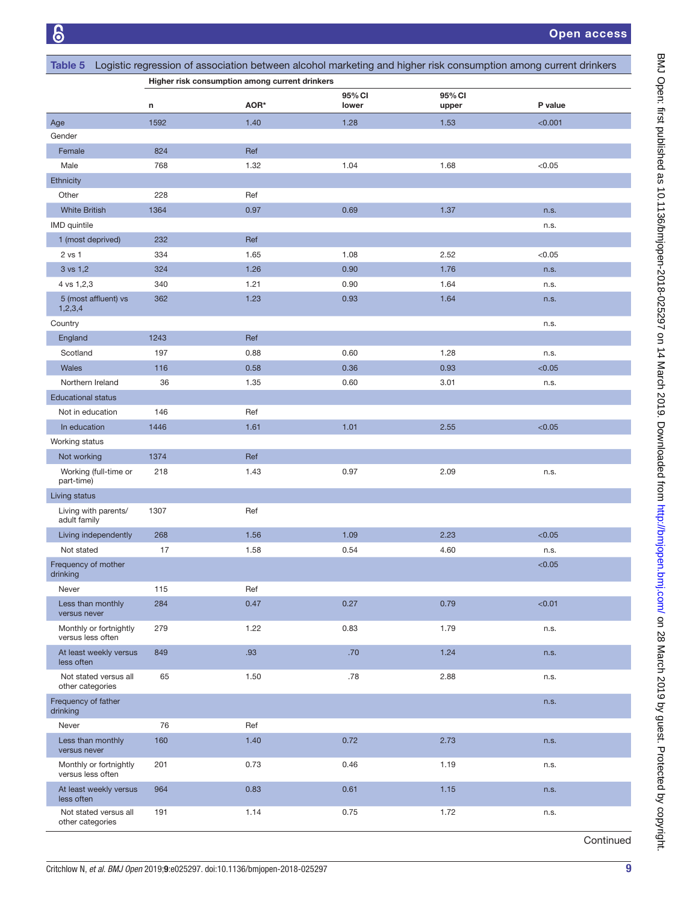Open access

<span id="page-8-0"></span>

| Table 5                                     |      | Logistic regression of association between alcohol marketing and higher risk consumption among current drinkers |                 |                 |         |  |
|---------------------------------------------|------|-----------------------------------------------------------------------------------------------------------------|-----------------|-----------------|---------|--|
|                                             |      | Higher risk consumption among current drinkers                                                                  |                 |                 |         |  |
|                                             | n    | AOR*                                                                                                            | 95% CI<br>lower | 95% CI<br>upper | P value |  |
| Age                                         | 1592 | 1.40                                                                                                            | 1.28            | 1.53            | < 0.001 |  |
| Gender                                      |      |                                                                                                                 |                 |                 |         |  |
| Female                                      | 824  | Ref                                                                                                             |                 |                 |         |  |
| Male                                        | 768  | 1.32                                                                                                            | 1.04            | 1.68            | < 0.05  |  |
| Ethnicity                                   |      |                                                                                                                 |                 |                 |         |  |
| Other                                       | 228  | Ref                                                                                                             |                 |                 |         |  |
| <b>White British</b>                        | 1364 | 0.97                                                                                                            | 0.69            | 1.37            | n.s.    |  |
| <b>IMD</b> quintile                         |      |                                                                                                                 |                 |                 | n.s.    |  |
| 1 (most deprived)                           | 232  | Ref                                                                                                             |                 |                 |         |  |
| 2 vs 1                                      | 334  | 1.65                                                                                                            | 1.08            | 2.52            | < 0.05  |  |
| 3 vs 1,2                                    | 324  | 1.26                                                                                                            | 0.90            | 1.76            | n.s.    |  |
| 4 vs 1,2,3                                  | 340  | 1.21                                                                                                            | 0.90            | 1.64            | n.s.    |  |
| 5 (most affluent) vs<br>1,2,3,4             | 362  | 1.23                                                                                                            | 0.93            | 1.64            | n.s.    |  |
| Country                                     |      |                                                                                                                 |                 |                 | n.s.    |  |
| England                                     | 1243 | Ref                                                                                                             |                 |                 |         |  |
| Scotland                                    | 197  | 0.88                                                                                                            | 0.60            | 1.28            | n.s.    |  |
| Wales                                       | 116  | 0.58                                                                                                            | 0.36            | 0.93            | < 0.05  |  |
| Northern Ireland                            | 36   | 1.35                                                                                                            | 0.60            | 3.01            | n.s.    |  |
| <b>Educational status</b>                   |      |                                                                                                                 |                 |                 |         |  |
| Not in education                            | 146  | Ref                                                                                                             |                 |                 |         |  |
| In education                                | 1446 | 1.61                                                                                                            | 1.01            | 2.55            | < 0.05  |  |
| Working status                              |      |                                                                                                                 |                 |                 |         |  |
| Not working                                 | 1374 | Ref                                                                                                             |                 |                 |         |  |
| Working (full-time or<br>part-time)         | 218  | 1.43                                                                                                            | 0.97            | 2.09            | n.s.    |  |
| Living status                               |      |                                                                                                                 |                 |                 |         |  |
| Living with parents/<br>adult family        | 1307 | Ref                                                                                                             |                 |                 |         |  |
| Living independently                        | 268  | 1.56                                                                                                            | 1.09            | 2.23            | < 0.05  |  |
| Not stated                                  | 17   | 1.58                                                                                                            | 0.54            | 4.60            | n.s.    |  |
| Frequency of mother<br>drinking             |      |                                                                                                                 |                 |                 | < 0.05  |  |
| Never                                       | 115  | Ref                                                                                                             |                 |                 |         |  |
| Less than monthly<br>versus never           | 284  | 0.47                                                                                                            | 0.27            | 0.79            | < 0.01  |  |
| Monthly or fortnightly<br>versus less often | 279  | 1.22                                                                                                            | 0.83            | 1.79            | n.s.    |  |
| At least weekly versus<br>less often        | 849  | .93                                                                                                             | .70             | 1.24            | n.s.    |  |
| Not stated versus all<br>other categories   | 65   | 1.50                                                                                                            | .78             | 2.88            | n.s.    |  |
| Frequency of father<br>drinking             |      |                                                                                                                 |                 |                 | n.s.    |  |
| Never                                       | 76   | Ref                                                                                                             |                 |                 |         |  |
| Less than monthly<br>versus never           | 160  | 1.40                                                                                                            | 0.72            | 2.73            | n.s.    |  |
| Monthly or fortnightly<br>versus less often | 201  | 0.73                                                                                                            | 0.46            | 1.19            | n.s.    |  |
| At least weekly versus<br>less often        | 964  | 0.83                                                                                                            | 0.61            | 1.15            | n.s.    |  |
| Not stated versus all<br>other categories   | 191  | 1.14                                                                                                            | 0.75            | 1.72            | n.s.    |  |

BMJ Open: first published as 10.1136/bmjopen-2018-025297 on 14 March 2019. Downloaded from http://bmjopen.bmj.com/ on 28 March 2019 by guest. Protected by copyright. BMJ Open: first published as 10.1136/bmjopen-2018 b736297 on 14 March 2019. Downloaded from baden. bmj.com/ on 28 March 2019 by guest. Protected by copyright.

**Continued**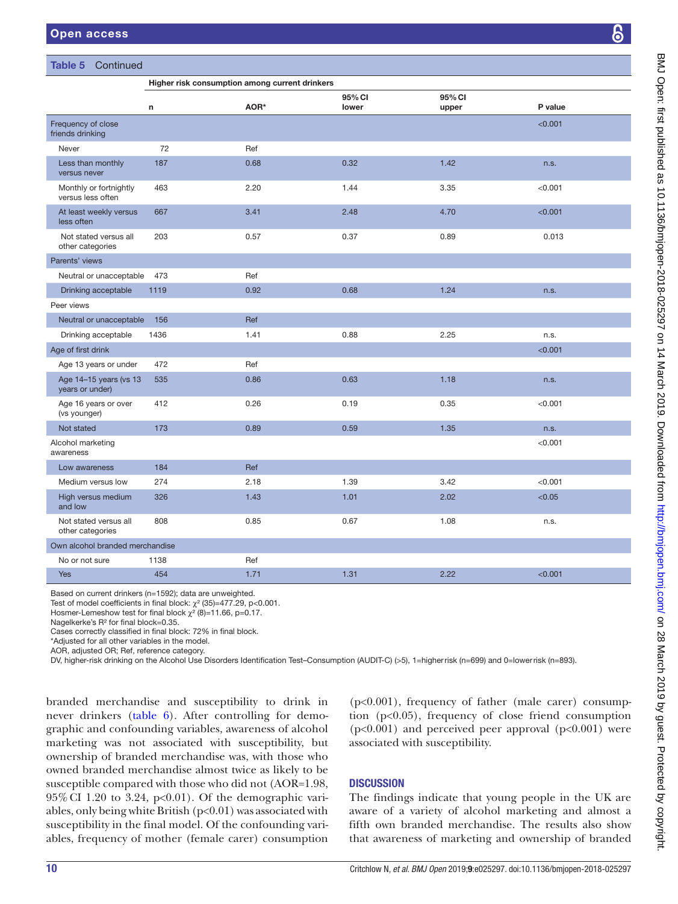|                                             |      | Higher risk consumption among current drinkers |                 |                 |         |
|---------------------------------------------|------|------------------------------------------------|-----------------|-----------------|---------|
|                                             | n    | AOR*                                           | 95% CI<br>lower | 95% CI<br>upper | P value |
| Frequency of close<br>friends drinking      |      |                                                |                 |                 | < 0.001 |
| Never                                       | 72   | Ref                                            |                 |                 |         |
| Less than monthly<br>versus never           | 187  | 0.68                                           | 0.32            | 1.42            | n.s.    |
| Monthly or fortnightly<br>versus less often | 463  | 2.20                                           | 1.44            | 3.35            | < 0.001 |
| At least weekly versus<br>less often        | 667  | 3.41                                           | 2.48            | 4.70            | < 0.001 |
| Not stated versus all<br>other categories   | 203  | 0.57                                           | 0.37            | 0.89            | 0.013   |
| Parents' views                              |      |                                                |                 |                 |         |
| Neutral or unacceptable                     | 473  | Ref                                            |                 |                 |         |
| Drinking acceptable                         | 1119 | 0.92                                           | 0.68            | 1.24            | n.s.    |
| Peer views                                  |      |                                                |                 |                 |         |
| Neutral or unacceptable                     | 156  | Ref                                            |                 |                 |         |
| Drinking acceptable                         | 1436 | 1.41                                           | 0.88            | 2.25            | n.s.    |
| Age of first drink                          |      |                                                |                 |                 | < 0.001 |
| Age 13 years or under                       | 472  | Ref                                            |                 |                 |         |
| Age 14-15 years (vs 13<br>years or under)   | 535  | 0.86                                           | 0.63            | 1.18            | n.s.    |
| Age 16 years or over<br>(vs younger)        | 412  | 0.26                                           | 0.19            | 0.35            | < 0.001 |
| Not stated                                  | 173  | 0.89                                           | 0.59            | 1.35            | n.s.    |
| Alcohol marketing<br>awareness              |      |                                                |                 |                 | < 0.001 |
| Low awareness                               | 184  | Ref                                            |                 |                 |         |
| Medium versus low                           | 274  | 2.18                                           | 1.39            | 3.42            | < 0.001 |
| High versus medium<br>and low               | 326  | 1.43                                           | 1.01            | 2.02            | < 0.05  |
| Not stated versus all<br>other categories   | 808  | 0.85                                           | 0.67            | 1.08            | n.s.    |
| Own alcohol branded merchandise             |      |                                                |                 |                 |         |
| No or not sure                              | 1138 | Ref                                            |                 |                 |         |
| <b>Yes</b>                                  | 454  | 1.71                                           | 1.31            | 2.22            | < 0.001 |

Based on current drinkers (n=1592); data are unweighted.

Test of model coefficients in final block:  $\chi^2$  (35)=477.29, p<0.001.

Hosmer-Lemeshow test for final block  $\chi^2$  (8)=11.66, p=0.17. Nagelkerke's R<sup>2</sup> for final block=0.35.

Cases correctly classified in final block: 72% in final block.

\*Adjusted for all other variables in the model.

AOR, adjusted OR; Ref, reference category.

DV, higher-risk drinking on the Alcohol Use Disorders Identification Test–Consumption (AUDIT-C) (>5), 1=higherrisk (n=699) and 0=lowerrisk (n=893).

branded merchandise and susceptibility to drink in never drinkers [\(table](#page-10-0) 6). After controlling for demographic and confounding variables, awareness of alcohol marketing was not associated with susceptibility, but ownership of branded merchandise was, with those who owned branded merchandise almost twice as likely to be susceptible compared with those who did not (AOR=1.98,  $95\%$  CI 1.20 to 3.24, p<0.01). Of the demographic variables, only being white British  $(p<0.01)$  was associated with susceptibility in the final model. Of the confounding variables, frequency of mother (female carer) consumption

(p<0.001), frequency of father (male carer) consumption (p<0.05), frequency of close friend consumption  $(p<0.001)$  and perceived peer approval  $(p<0.001)$  were associated with susceptibility.

# **DISCUSSION**

The findings indicate that young people in the UK are aware of a variety of alcohol marketing and almost a fifth own branded merchandise. The results also show that awareness of marketing and ownership of branded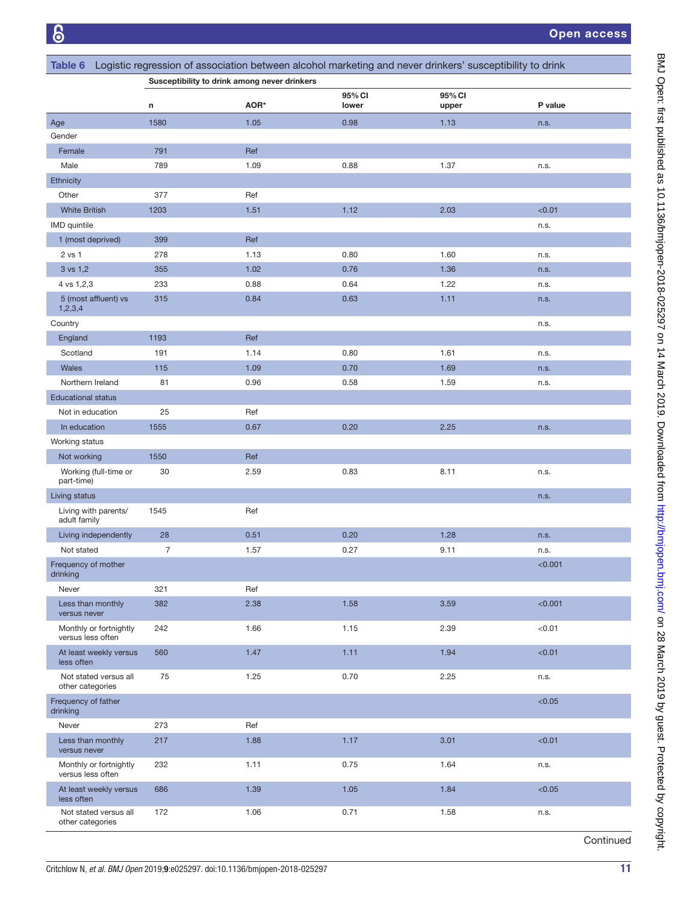Open access

<span id="page-10-0"></span>

| Logistic regression of association between alcohol marketing and never drinkers' susceptibility to drink<br>Table 6 |                |                                              |                 |                 |         |  |
|---------------------------------------------------------------------------------------------------------------------|----------------|----------------------------------------------|-----------------|-----------------|---------|--|
|                                                                                                                     |                | Susceptibility to drink among never drinkers |                 |                 |         |  |
|                                                                                                                     | n              | AOR*                                         | 95% CI<br>lower | 95% CI<br>upper | P value |  |
| Age                                                                                                                 | 1580           | 1.05                                         | 0.98            | 1.13            | n.s.    |  |
| Gender                                                                                                              |                |                                              |                 |                 |         |  |
| Female                                                                                                              | 791            | Ref                                          |                 |                 |         |  |
| Male                                                                                                                | 789            | 1.09                                         | 0.88            | 1.37            | n.s.    |  |
| Ethnicity                                                                                                           |                |                                              |                 |                 |         |  |
| Other                                                                                                               | 377            | Ref                                          |                 |                 |         |  |
| <b>White British</b>                                                                                                | 1203           | 1.51                                         | 1.12            | 2.03            | < 0.01  |  |
| <b>IMD</b> quintile                                                                                                 |                |                                              |                 |                 | n.s.    |  |
| 1 (most deprived)                                                                                                   | 399            | Ref                                          |                 |                 |         |  |
| 2 vs 1                                                                                                              | 278            | 1.13                                         | 0.80            | 1.60            | n.s.    |  |
| 3 vs 1,2                                                                                                            | 355            | 1.02                                         | 0.76            | 1.36            | n.s.    |  |
| 4 vs 1,2,3                                                                                                          | 233            | 0.88                                         | 0.64            | 1.22            | n.s.    |  |
| 5 (most affluent) vs<br>1,2,3,4                                                                                     | 315            | 0.84                                         | 0.63            | 1.11            | n.s.    |  |
| Country                                                                                                             |                |                                              |                 |                 | n.s.    |  |
| England                                                                                                             | 1193           | Ref                                          |                 |                 |         |  |
| Scotland                                                                                                            | 191            | 1.14                                         | 0.80            | 1.61            | n.s.    |  |
| Wales                                                                                                               | 115            | 1.09                                         | 0.70            | 1.69            | n.s.    |  |
| Northern Ireland                                                                                                    | 81             | 0.96                                         | 0.58            | 1.59            | n.s.    |  |
| <b>Educational status</b>                                                                                           |                |                                              |                 |                 |         |  |
| Not in education                                                                                                    | 25             | Ref                                          |                 |                 |         |  |
| In education                                                                                                        | 1555           | 0.67                                         | 0.20            | 2.25            | n.s.    |  |
| Working status                                                                                                      |                |                                              |                 |                 |         |  |
| Not working                                                                                                         | 1550           | Ref                                          |                 |                 |         |  |
| Working (full-time or<br>part-time)                                                                                 | 30             | 2.59                                         | 0.83            | 8.11            | n.s.    |  |
| Living status                                                                                                       |                |                                              |                 |                 | n.s.    |  |
| Living with parents/<br>adult family                                                                                | 1545           | Ref                                          |                 |                 |         |  |
| Living independently                                                                                                | 28             | 0.51                                         | 0.20            | 1.28            | n.s.    |  |
| Not stated                                                                                                          | $\overline{7}$ | 1.57                                         | 0.27            | 9.11            | n.s.    |  |
| Frequency of mother<br>drinking                                                                                     |                |                                              |                 |                 | < 0.001 |  |
| Never                                                                                                               | 321            | Ref                                          |                 |                 |         |  |
| Less than monthly<br>versus never                                                                                   | 382            | 2.38                                         | 1.58            | 3.59            | < 0.001 |  |
| Monthly or fortnightly<br>versus less often                                                                         | 242            | 1.66                                         | 1.15            | 2.39            | < 0.01  |  |
| At least weekly versus<br>less often                                                                                | 560            | 1.47                                         | 1.11            | 1.94            | < 0.01  |  |
| Not stated versus all<br>other categories                                                                           | 75             | 1.25                                         | 0.70            | 2.25            | n.s.    |  |
| Frequency of father<br>drinking                                                                                     |                |                                              |                 |                 | < 0.05  |  |
| Never                                                                                                               | 273            | Ref                                          |                 |                 |         |  |
| Less than monthly<br>versus never                                                                                   | 217            | 1.88                                         | 1.17            | 3.01            | < 0.01  |  |
| Monthly or fortnightly<br>versus less often                                                                         | 232            | 1.11                                         | 0.75            | 1.64            | n.s.    |  |
| At least weekly versus<br>less often                                                                                | 686            | 1.39                                         | 1.05            | 1.84            | < 0.05  |  |
| Not stated versus all<br>other categories                                                                           | 172            | 1.06                                         | 0.71            | 1.58            | n.s.    |  |

Continued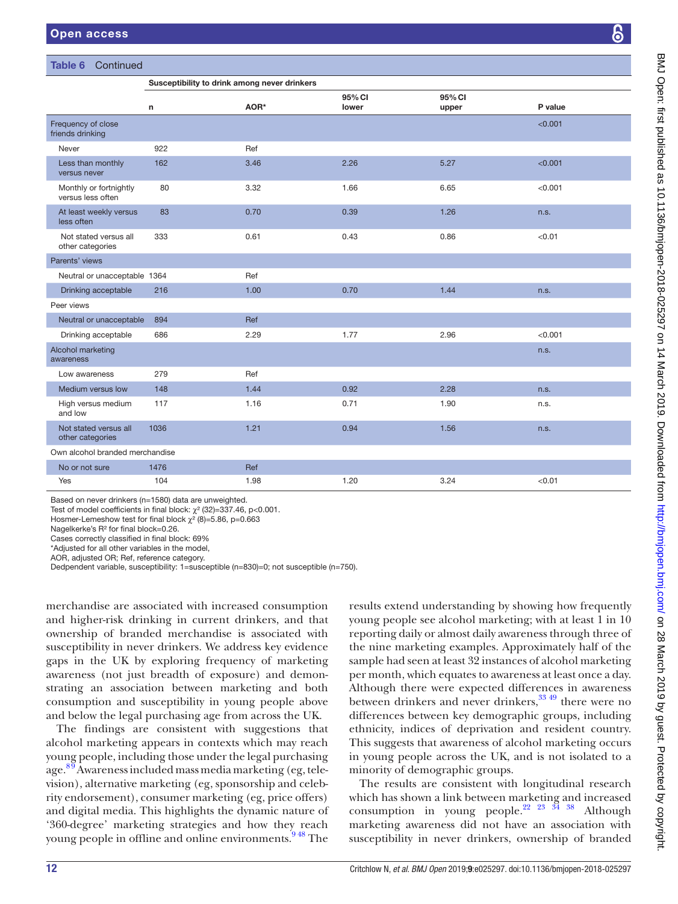Table 6 Continued

|                                             | Susceptibility to drink among never drinkers |      |                 |                 |         |  |  |  |
|---------------------------------------------|----------------------------------------------|------|-----------------|-----------------|---------|--|--|--|
|                                             | n                                            | AOR* | 95% CI<br>lower | 95% CI<br>upper | P value |  |  |  |
| Frequency of close<br>friends drinking      |                                              |      |                 |                 | < 0.001 |  |  |  |
| Never                                       | 922                                          | Ref  |                 |                 |         |  |  |  |
| Less than monthly<br>versus never           | 162                                          | 3.46 | 2.26            | 5.27            | < 0.001 |  |  |  |
| Monthly or fortnightly<br>versus less often | 80                                           | 3.32 | 1.66            | 6.65            | < 0.001 |  |  |  |
| At least weekly versus<br>less often        | 83                                           | 0.70 | 0.39            | 1.26            | n.s.    |  |  |  |
| Not stated versus all<br>other categories   | 333                                          | 0.61 | 0.43            | 0.86            | < 0.01  |  |  |  |
| Parents' views                              |                                              |      |                 |                 |         |  |  |  |
| Neutral or unacceptable 1364                |                                              | Ref  |                 |                 |         |  |  |  |
| Drinking acceptable                         | 216                                          | 1.00 | 0.70            | 1.44            | n.s.    |  |  |  |
| Peer views                                  |                                              |      |                 |                 |         |  |  |  |
| Neutral or unacceptable                     | 894                                          | Ref  |                 |                 |         |  |  |  |
| Drinking acceptable                         | 686                                          | 2.29 | 1.77            | 2.96            | < 0.001 |  |  |  |
| Alcohol marketing<br>awareness              |                                              |      |                 |                 | n.s.    |  |  |  |
| Low awareness                               | 279                                          | Ref  |                 |                 |         |  |  |  |
| Medium versus low                           | 148                                          | 1.44 | 0.92            | 2.28            | n.s.    |  |  |  |
| High versus medium<br>and low               | 117                                          | 1.16 | 0.71            | 1.90            | n.s.    |  |  |  |
| Not stated versus all<br>other categories   | 1036                                         | 1.21 | 0.94            | 1.56            | n.s.    |  |  |  |
| Own alcohol branded merchandise             |                                              |      |                 |                 |         |  |  |  |
| No or not sure                              | 1476                                         | Ref  |                 |                 |         |  |  |  |
| Yes                                         | 104                                          | 1.98 | 1.20            | 3.24            | < 0.01  |  |  |  |

Test of model coefficients in final block:  $χ²(32)=337.46$ , p<0.001. Hosmer-Lemeshow test for final block  $\chi^2$  (8)=5.86, p=0.663

Nagelkerke's R² for final block=0.26.

Cases correctly classified in final block: 69%

\*Adjusted for all other variables in the model, AOR, adjusted OR; Ref, reference category.

Dedpendent variable, susceptibility: 1=susceptible (n=830)=0; not susceptible (n=750).

merchandise are associated with increased consumption and higher-risk drinking in current drinkers, and that ownership of branded merchandise is associated with susceptibility in never drinkers. We address key evidence gaps in the UK by exploring frequency of marketing awareness (not just breadth of exposure) and demonstrating an association between marketing and both consumption and susceptibility in young people above and below the legal purchasing age from across the UK.

The findings are consistent with suggestions that alcohol marketing appears in contexts which may reach young people, including those under the legal purchasing age. 89 Awareness included mass media marketing (eg, television), alternative marketing (eg, sponsorship and celebrity endorsement), consumer marketing (eg, price offers) and digital media. This highlights the dynamic nature of '360-degree' marketing strategies and how they reach young people in offline and online environments.<sup>948</sup> The

results extend understanding by showing how frequently young people see alcohol marketing; with at least 1 in 10 reporting daily or almost daily awareness through three of the nine marketing examples. Approximately half of the sample had seen at least 32 instances of alcohol marketing per month, which equates to awareness at least once a day. Although there were expected differences in awareness between drinkers and never drinkers,  $33\frac{49}{12}$  there were no differences between key demographic groups, including ethnicity, indices of deprivation and resident country. This suggests that awareness of alcohol marketing occurs in young people across the UK, and is not isolated to a minority of demographic groups.

The results are consistent with longitudinal research which has shown a link between marketing and increased consumption in young people.<sup>22 23 34</sup> 38 Although marketing awareness did not have an association with susceptibility in never drinkers, ownership of branded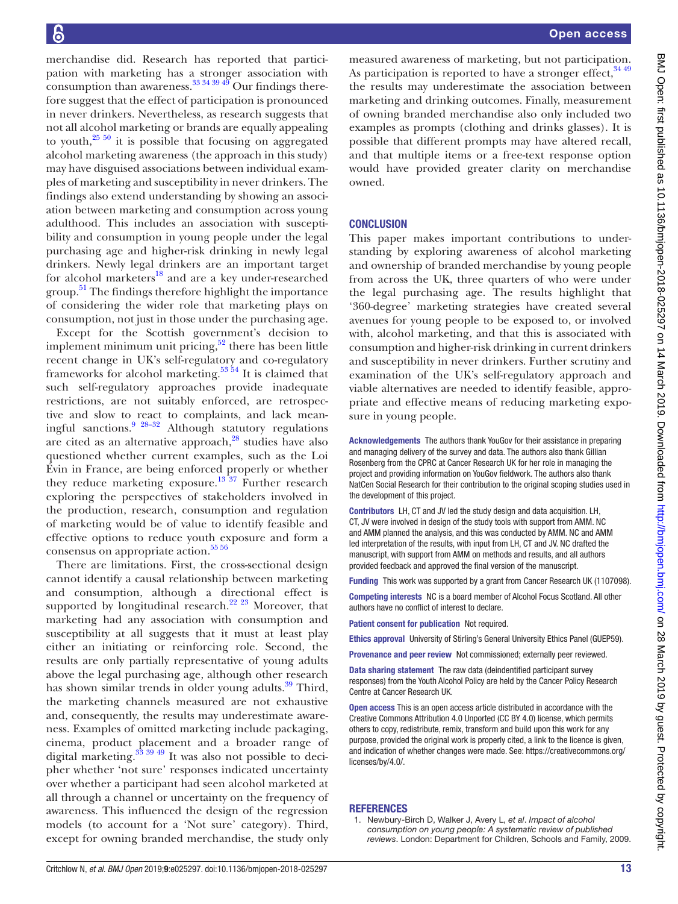merchandise did. Research has reported that participation with marketing has a stronger association with consumption than awareness.<sup>33 34 39 49</sup> Our findings therefore suggest that the effect of participation is pronounced in never drinkers. Nevertheless, as research suggests that not all alcohol marketing or brands are equally appealing to youth, $25\,50$  it is possible that focusing on aggregated alcohol marketing awareness (the approach in this study) may have disguised associations between individual examples of marketing and susceptibility in never drinkers. The findings also extend understanding by showing an association between marketing and consumption across young adulthood. This includes an association with susceptibility and consumption in young people under the legal purchasing age and higher-risk drinking in newly legal drinkers. Newly legal drinkers are an important target for alcohol marketers $^{18}$  and are a key under-researched group.<sup>[51](#page-13-25)</sup> The findings therefore highlight the importance of considering the wider role that marketing plays on consumption, not just in those under the purchasing age.

Except for the Scottish government's decision to implement minimum unit pricing, $5<sup>52</sup>$  there has been little recent change in UK's self-regulatory and co-regulatory frameworks for alcohol marketing.[53 54](#page-13-27) It is claimed that such self-regulatory approaches provide inadequate restrictions, are not suitably enforced, are retrospective and slow to react to complaints, and lack meaningful sanctions.<sup>9 28–32</sup> Although statutory regulations are cited as an alternative approach, $28$  studies have also questioned whether current examples, such as the Loi Évin in France, are being enforced properly or whether they reduce marketing exposure.<sup>[13 37](#page-13-9)</sup> Further research exploring the perspectives of stakeholders involved in the production, research, consumption and regulation of marketing would be of value to identify feasible and effective options to reduce youth exposure and form a consensus on appropriate action.<sup>[55 56](#page-13-29)</sup>

There are limitations. First, the cross-sectional design cannot identify a causal relationship between marketing and consumption, although a directional effect is supported by longitudinal research. $22$   $23$  Moreover, that marketing had any association with consumption and susceptibility at all suggests that it must at least play either an initiating or reinforcing role. Second, the results are only partially representative of young adults above the legal purchasing age, although other research has shown similar trends in older young adults.<sup>39</sup> Third, the marketing channels measured are not exhaustive and, consequently, the results may underestimate awareness. Examples of omitted marketing include packaging, cinema, product placement and a broader range of digital marketing.<sup>33</sup> 39<sup>49</sup> It was also not possible to decipher whether 'not sure' responses indicated uncertainty over whether a participant had seen alcohol marketed at all through a channel or uncertainty on the frequency of awareness. This influenced the design of the regression models (to account for a 'Not sure' category). Third, except for owning branded merchandise, the study only

measured awareness of marketing, but not participation. As participation is reported to have a stronger effect,  $3449$ the results may underestimate the association between marketing and drinking outcomes. Finally, measurement of owning branded merchandise also only included two examples as prompts (clothing and drinks glasses). It is possible that different prompts may have altered recall, and that multiple items or a free-text response option would have provided greater clarity on merchandise owned.

# **CONCLUSION**

This paper makes important contributions to understanding by exploring awareness of alcohol marketing and ownership of branded merchandise by young people from across the UK, three quarters of who were under the legal purchasing age. The results highlight that '360-degree' marketing strategies have created several avenues for young people to be exposed to, or involved with, alcohol marketing, and that this is associated with consumption and higher-risk drinking in current drinkers and susceptibility in never drinkers. Further scrutiny and examination of the UK's self-regulatory approach and viable alternatives are needed to identify feasible, appropriate and effective means of reducing marketing exposure in young people.

Acknowledgements The authors thank YouGov for their assistance in preparing and managing delivery of the survey and data. The authors also thank Gillian Rosenberg from the CPRC at Cancer Research UK for her role in managing the project and providing information on YouGov fieldwork. The authors also thank NatCen Social Research for their contribution to the original scoping studies used in the development of this project.

Contributors LH, CT and JV led the study design and data acquisition. LH, CT, JV were involved in design of the study tools with support from AMM. NC and AMM planned the analysis, and this was conducted by AMM. NC and AMM led interpretation of the results, with input from LH, CT and JV. NC drafted the manuscript, with support from AMM on methods and results, and all authors provided feedback and approved the final version of the manuscript.

Funding This work was supported by a grant from Cancer Research UK (1107098).

Competing interests NC is a board member of Alcohol Focus Scotland. All other authors have no conflict of interest to declare.

Patient consent for publication Not required.

Ethics approval University of Stirling's General University Ethics Panel (GUEP59).

Provenance and peer review Not commissioned; externally peer reviewed.

Data sharing statement The raw data (deindentified participant survey responses) from the Youth Alcohol Policy are held by the Cancer Policy Research Centre at Cancer Research UK.

**Open access** This is an open access article distributed in accordance with the Creative Commons Attribution 4.0 Unported (CC BY 4.0) license, which permits others to copy, redistribute, remix, transform and build upon this work for any purpose, provided the original work is properly cited, a link to the licence is given, and indication of whether changes were made. See: [https://creativecommons.org/](https://creativecommons.org/licenses/by/4.0/) [licenses/by/4.0/](https://creativecommons.org/licenses/by/4.0/).

#### **REFERENCES**

<span id="page-12-0"></span>1. Newbury-Birch D, Walker J, Avery L, *et al*. *Impact of alcohol consumption on young people: A systematic review of published reviews*. London: Department for Children, Schools and Family, 2009.